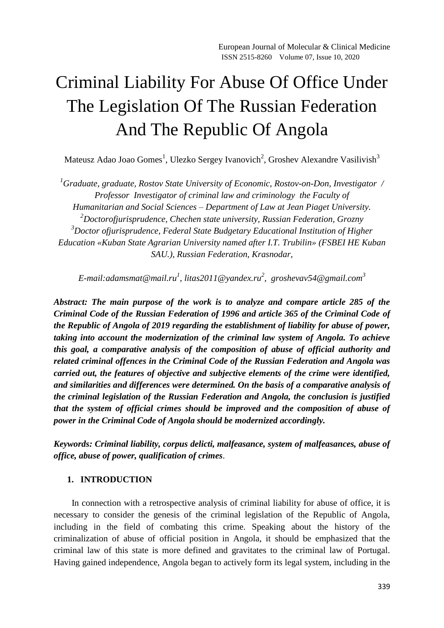# Criminal Liability For Abuse Of Office Under The Legislation Of The Russian Federation And The Republic Of Angola

Mateusz Adao Joao Gomes<sup>1</sup>, Ulezko Sergey Ivanovich<sup>2</sup>, Groshev Alexandre Vasilivish<sup>3</sup>

*<sup>1</sup>Graduate, graduate, Rostov State University of Economic, Rostov-on-Don, Investigator / Professor Investigator of criminal law and criminology the Faculty of Humanitarian and Social Sciences – Department of Law at Jean Piaget University. <sup>2</sup>Doctorofjurisprudence, Chechen state university, Russian Federation, Grozny <sup>3</sup>Doctor ofjurisprudence, Federal State Budgetary Educational Institution of Higher Education «Kuban State Agrarian University named after I.T. Trubilin» (FSBEI HE Kuban SAU.), Russian Federation, Krasnodar,*

*E-mail:adamsmat@mail.ru<sup>1</sup> , [litas2011@yandex.ru](mailto:litas2011@yandex.ru)<sup>2</sup> , groshevav54@gmail.com 3*

*Abstract: The main purpose of the work is to analyze and compare article 285 of the Criminal Code of the Russian Federation of 1996 and article 365 of the Criminal Code of the Republic of Angola of 2019 regarding the establishment of liability for abuse of power, taking into account the modernization of the criminal law system of Angola. To achieve this goal, a comparative analysis of the composition of abuse of official authority and related criminal offences in the Criminal Code of the Russian Federation and Angola was carried out, the features of objective and subjective elements of the crime were identified, and similarities and differences were determined. On the basis of a comparative analysis of the criminal legislation of the Russian Federation and Angola, the conclusion is justified that the system of official crimes should be improved and the composition of abuse of power in the Criminal Code of Angola should be modernized accordingly.*

*Keywords: Criminal liability, corpus delicti, malfeasance, system of malfeasances, abuse of office, abuse of power, qualification of crimes*.

# **1. INTRODUCTION**

 In connection with a retrospective analysis of criminal liability for abuse of office, it is necessary to consider the genesis of the criminal legislation of the Republic of Angola, including in the field of combating this crime. Speaking about the history of the criminalization of abuse of official position in Angola, it should be emphasized that the criminal law of this state is more defined and gravitates to the criminal law of Portugal. Having gained independence, Angola began to actively form its legal system, including in the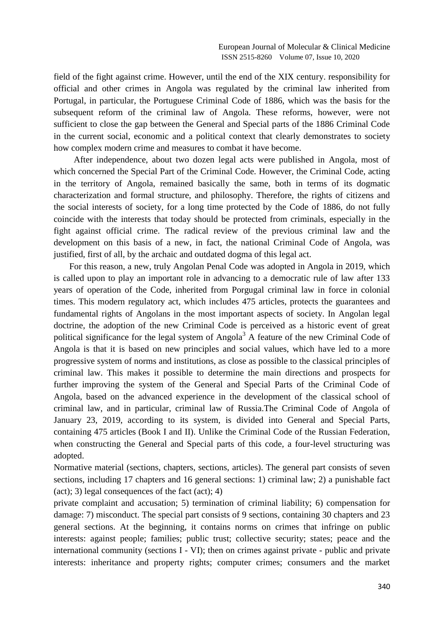field of the fight against crime. However, until the end of the XIX century. responsibility for official and other crimes in Angola was regulated by the criminal law inherited from Portugal, in particular, the Portuguese Criminal Code of 1886, which was the basis for the subsequent reform of the criminal law of Angola. These reforms, however, were not sufficient to close the gap between the General and Special parts of the 1886 Criminal Code in the current social, economic and a political context that clearly demonstrates to society how complex modern crime and measures to combat it have become.

 After independence, about two dozen legal acts were published in Angola, most of which concerned the Special Part of the Criminal Code. However, the Criminal Code, acting in the territory of Angola, remained basically the same, both in terms of its dogmatic characterization and formal structure, and philosophy. Therefore, the rights of citizens and the social interests of society, for a long time protected by the Code of 1886, do not fully coincide with the interests that today should be protected from criminals, especially in the fight against official crime. The radical review of the previous criminal law and the development on this basis of a new, in fact, the national Criminal Code of Angola, was justified, first of all, by the archaic and outdated dogma of this legal act.

 For this reason, a new, truly Angolan Penal Code was adopted in Angola in 2019, which is called upon to play an important role in advancing to a democratic rule of law after 133 years of operation of the Code, inherited from Porgugal criminal law in force in colonial times. This modern regulatory act, which includes 475 articles, protects the guarantees and fundamental rights of Angolans in the most important aspects of society. In Angolan legal doctrine, the adoption of the new Criminal Code is perceived as a historic event of great political significance for the legal system of  $Angola<sup>3</sup>$  A feature of the new Criminal Code of Angola is that it is based on new principles and social values, which have led to a more progressive system of norms and institutions, as close as possible to the classical principles of criminal law. This makes it possible to determine the main directions and prospects for further improving the system of the General and Special Parts of the Criminal Code of Angola, based on the advanced experience in the development of the classical school of criminal law, and in particular, criminal law of Russia.The Criminal Code of Angola of January 23, 2019, according to its system, is divided into General and Special Parts, containing 475 articles (Book I and II). Unlike the Criminal Code of the Russian Federation, when constructing the General and Special parts of this code, a four-level structuring was adopted.

Normative material (sections, chapters, sections, articles). The general part consists of seven sections, including 17 chapters and 16 general sections: 1) criminal law; 2) a punishable fact  $(\text{act})$ ; 3) legal consequences of the fact  $(\text{act})$ ; 4)

private complaint and accusation; 5) termination of criminal liability; 6) compensation for damage: 7) misconduct. The special part consists of 9 sections, containing 30 chapters and 23 general sections. At the beginning, it contains norms on crimes that infringe on public interests: against people; families; public trust; collective security; states; peace and the international community (sections I - VI); then on crimes against private - public and private interests: inheritance and property rights; computer crimes; consumers and the market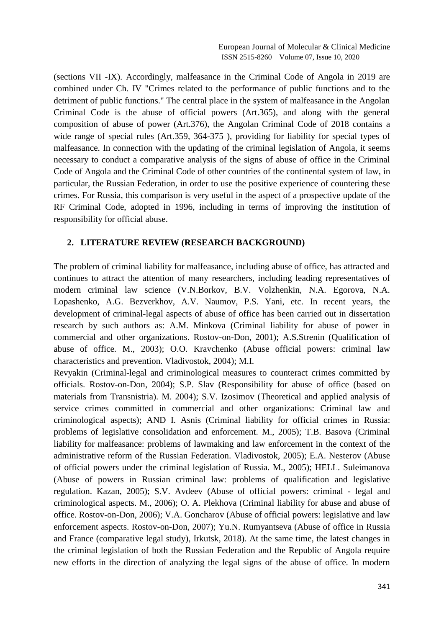(sections VII -IX). Accordingly, malfeasance in the Criminal Code of Angola in 2019 are combined under Ch. IV "Crimes related to the performance of public functions and to the detriment of public functions." The central place in the system of malfeasance in the Angolan Criminal Code is the abuse of official powers (Art.365), and along with the general composition of abuse of power (Art.376), the Angolan Criminal Code of 2018 contains a wide range of special rules (Art.359, 364-375 ), providing for liability for special types of malfeasance. In connection with the updating of the criminal legislation of Angola, it seems necessary to conduct a comparative analysis of the signs of abuse of office in the Criminal Code of Angola and the Criminal Code of other countries of the continental system of law, in particular, the Russian Federation, in order to use the positive experience of countering these crimes. For Russia, this comparison is very useful in the aspect of a prospective update of the RF Criminal Code, adopted in 1996, including in terms of improving the institution of responsibility for official abuse.

## **2. LITERATURE REVIEW (RESEARCH BACKGROUND)**

The problem of criminal liability for malfeasance, including abuse of office, has attracted and continues to attract the attention of many researchers, including leading representatives of modern criminal law science (V.N.Borkov, B.V. Volzhenkin, N.A. Egorova, N.A. Lopashenko, A.G. Bezverkhov, A.V. Naumov, P.S. Yani, etc. In recent years, the development of criminal-legal aspects of abuse of office has been carried out in dissertation research by such authors as: A.M. Minkova (Criminal liability for abuse of power in commercial and other organizations. Rostov-on-Don, 2001); A.S.Strenin (Qualification of abuse of office. M., 2003); O.O. Kravchenko (Abuse official powers: criminal law characteristics and prevention. Vladivostok, 2004); M.I.

Revyakin (Criminal-legal and criminological measures to counteract crimes committed by officials. Rostov-on-Don, 2004); S.P. Slav (Responsibility for abuse of office (based on materials from Transnistria). M. 2004); S.V. Izosimov (Theoretical and applied analysis of service crimes committed in commercial and other organizations: Criminal law and criminological aspects); AND I. Asnis (Criminal liability for official crimes in Russia: problems of legislative consolidation and enforcement. M., 2005); T.B. Basova (Criminal liability for malfeasance: problems of lawmaking and law enforcement in the context of the administrative reform of the Russian Federation. Vladivostok, 2005); E.A. Nesterov (Abuse of official powers under the criminal legislation of Russia. M., 2005); HELL. Suleimanova (Abuse of powers in Russian criminal law: problems of qualification and legislative regulation. Kazan, 2005); S.V. Avdeev (Abuse of official powers: criminal - legal and criminological aspects. M., 2006); O. A. Plekhova (Criminal liability for abuse and abuse of office. Rostov-on-Don, 2006); V.A. Goncharov (Abuse of official powers: legislative and law enforcement aspects. Rostov-on-Don, 2007); Yu.N. Rumyantseva (Abuse of office in Russia and France (comparative legal study), Irkutsk, 2018). At the same time, the latest changes in the criminal legislation of both the Russian Federation and the Republic of Angola require new efforts in the direction of analyzing the legal signs of the abuse of office. In modern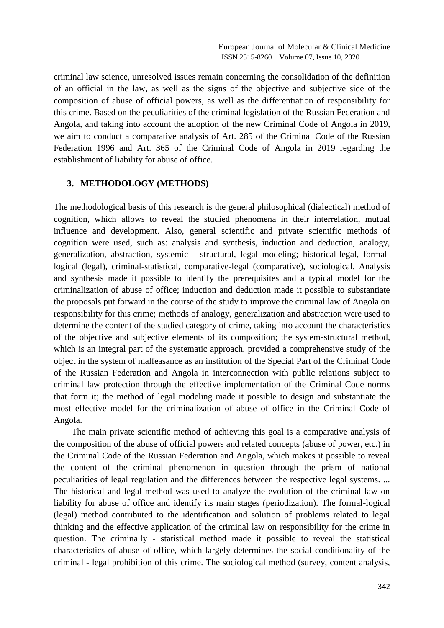criminal law science, unresolved issues remain concerning the consolidation of the definition of an official in the law, as well as the signs of the objective and subjective side of the composition of abuse of official powers, as well as the differentiation of responsibility for this crime. Based on the peculiarities of the criminal legislation of the Russian Federation and Angola, and taking into account the adoption of the new Criminal Code of Angola in 2019, we aim to conduct a comparative analysis of Art. 285 of the Criminal Code of the Russian Federation 1996 and Art. 365 of the Criminal Code of Angola in 2019 regarding the establishment of liability for abuse of office.

### **3. METHODOLOGY (METHODS)**

The methodological basis of this research is the general philosophical (dialectical) method of cognition, which allows to reveal the studied phenomena in their interrelation, mutual influence and development. Also, general scientific and private scientific methods of cognition were used, such as: analysis and synthesis, induction and deduction, analogy, generalization, abstraction, systemic - structural, legal modeling; historical-legal, formallogical (legal), criminal-statistical, comparative-legal (comparative), sociological. Analysis and synthesis made it possible to identify the prerequisites and a typical model for the criminalization of abuse of office; induction and deduction made it possible to substantiate the proposals put forward in the course of the study to improve the criminal law of Angola on responsibility for this crime; methods of analogy, generalization and abstraction were used to determine the content of the studied category of crime, taking into account the characteristics of the objective and subjective elements of its composition; the system-structural method, which is an integral part of the systematic approach, provided a comprehensive study of the object in the system of malfeasance as an institution of the Special Part of the Criminal Code of the Russian Federation and Angola in interconnection with public relations subject to criminal law protection through the effective implementation of the Criminal Code norms that form it; the method of legal modeling made it possible to design and substantiate the most effective model for the criminalization of abuse of office in the Criminal Code of Angola.

 The main private scientific method of achieving this goal is a comparative analysis of the composition of the abuse of official powers and related concepts (abuse of power, etc.) in the Criminal Code of the Russian Federation and Angola, which makes it possible to reveal the content of the criminal phenomenon in question through the prism of national peculiarities of legal regulation and the differences between the respective legal systems. ... The historical and legal method was used to analyze the evolution of the criminal law on liability for abuse of office and identify its main stages (periodization). The formal-logical (legal) method contributed to the identification and solution of problems related to legal thinking and the effective application of the criminal law on responsibility for the crime in question. The criminally - statistical method made it possible to reveal the statistical characteristics of abuse of office, which largely determines the social conditionality of the criminal - legal prohibition of this crime. The sociological method (survey, content analysis,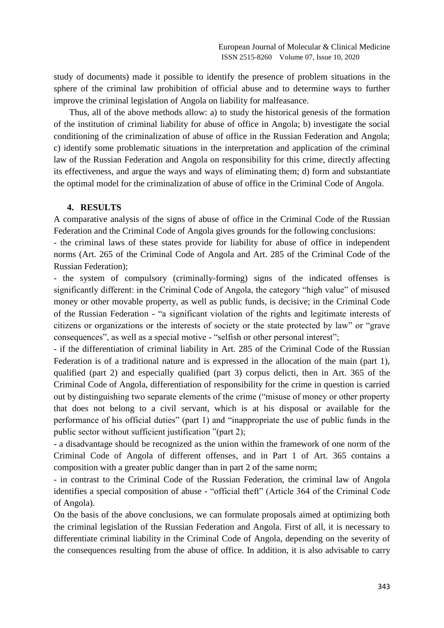study of documents) made it possible to identify the presence of problem situations in the sphere of the criminal law prohibition of official abuse and to determine ways to further improve the criminal legislation of Angola on liability for malfeasance.

 Thus, all of the above methods allow: a) to study the historical genesis of the formation of the institution of criminal liability for abuse of office in Angola; b) investigate the social conditioning of the criminalization of abuse of office in the Russian Federation and Angola; c) identify some problematic situations in the interpretation and application of the criminal law of the Russian Federation and Angola on responsibility for this crime, directly affecting its effectiveness, and argue the ways and ways of eliminating them; d) form and substantiate the optimal model for the criminalization of abuse of office in the Criminal Code of Angola.

#### **4. RESULTS**

A comparative analysis of the signs of abuse of office in the Criminal Code of the Russian Federation and the Criminal Code of Angola gives grounds for the following conclusions:

- the criminal laws of these states provide for liability for abuse of office in independent norms (Art. 265 of the Criminal Code of Angola and Art. 285 of the Criminal Code of the Russian Federation);

- the system of compulsory (criminally-forming) signs of the indicated offenses is significantly different: in the Criminal Code of Angola, the category "high value" of misused money or other movable property, as well as public funds, is decisive; in the Criminal Code of the Russian Federation - "a significant violation of the rights and legitimate interests of citizens or organizations or the interests of society or the state protected by law" or "grave consequences", as well as a special motive - "selfish or other personal interest";

- if the differentiation of criminal liability in Art. 285 of the Criminal Code of the Russian Federation is of a traditional nature and is expressed in the allocation of the main (part 1), qualified (part 2) and especially qualified (part 3) corpus delicti, then in Art. 365 of the Criminal Code of Angola, differentiation of responsibility for the crime in question is carried out by distinguishing two separate elements of the crime ("misuse of money or other property that does not belong to a civil servant, which is at his disposal or available for the performance of his official duties" (part 1) and "inappropriate the use of public funds in the public sector without sufficient justification "(part 2);

- a disadvantage should be recognized as the union within the framework of one norm of the Criminal Code of Angola of different offenses, and in Part 1 of Art. 365 contains a composition with a greater public danger than in part 2 of the same norm;

- in contrast to the Criminal Code of the Russian Federation, the criminal law of Angola identifies a special composition of abuse - "official theft" (Article 364 of the Criminal Code of Angola).

On the basis of the above conclusions, we can formulate proposals aimed at optimizing both the criminal legislation of the Russian Federation and Angola. First of all, it is necessary to differentiate criminal liability in the Criminal Code of Angola, depending on the severity of the consequences resulting from the abuse of office. In addition, it is also advisable to carry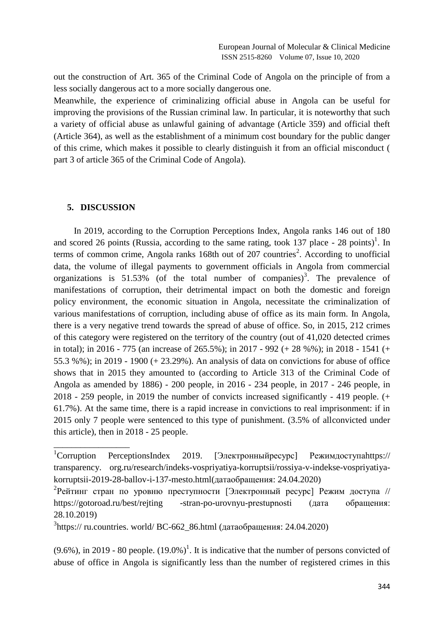out the construction of Art. 365 of the Criminal Code of Angola on the principle of from a less socially dangerous act to a more socially dangerous one.

Meanwhile, the experience of criminalizing official abuse in Angola can be useful for improving the provisions of the Russian criminal law. In particular, it is noteworthy that such a variety of official abuse as unlawful gaining of advantage (Article 359) and official theft (Article 364), as well as the establishment of a minimum cost boundary for the public danger of this crime, which makes it possible to clearly distinguish it from an official misconduct ( part 3 of article 365 of the Criminal Code of Angola).

#### **5. DISCUSSION**

\_\_\_\_\_\_\_\_\_\_\_\_\_\_\_\_\_

 In 2019, according to the Corruption Perceptions Index, Angola ranks 146 out of 180 and scored 26 points (Russia, according to the same rating, took 137 place - 28 points)<sup>1</sup>. In terms of common crime, Angola ranks  $168th$  out of  $207$  countries<sup>2</sup>. According to unofficial data, the volume of illegal payments to government officials in Angola from commercial organizations is  $51.53\%$  (of the total number of companies)<sup>3</sup>. The prevalence of manifestations of corruption, their detrimental impact on both the domestic and foreign policy environment, the economic situation in Angola, necessitate the criminalization of various manifestations of corruption, including abuse of office as its main form. In Angola, there is a very negative trend towards the spread of abuse of office. So, in 2015, 212 crimes of this category were registered on the territory of the country (out of 41,020 detected crimes in total); in 2016 - 775 (an increase of 265.5%); in 2017 - 992 (+ 28 %%); in 2018 - 1541 (+ 55.3 %%); in 2019 - 1900 (+ 23.29%). An analysis of data on convictions for abuse of office shows that in 2015 they amounted to (according to Article 313 of the Criminal Code of Angola as amended by 1886) - 200 people, in 2016 - 234 people, in 2017 - 246 people, in 2018 - 259 people, in 2019 the number of convicts increased significantly - 419 people. (+ 61.7%). At the same time, there is a rapid increase in convictions to real imprisonment: if in 2015 only 7 people were sentenced to this type of punishment. (3.5% of allconvicted under this article), then in 2018 - 25 people.

 $(9.6\%)$ , in 2019 - 80 people.  $(19.0\%)$ <sup>1</sup>. It is indicative that the number of persons convicted of abuse of office in Angola is significantly less than the number of registered crimes in this

 $1$ Corruption PerceptionsIndex 2019. [Электронный ресурс] Режимдоступа https:// transparency. org.ru/research/indeks-vospriyatiya-korruptsii/rossiya-v-indekse-vospriyatiyakorruptsii-2019-28-ballov-i-137-mesto.html(датаобращения: 24.04.2020)

<sup>&</sup>lt;sup>2</sup> Рейтинг стран по уровню преступности [Электронный ресурс] Режим доступа // <https://gotoroad.ru/best/rejting> -stran-po-urovnyu-prestupnosti (дата обращения: 28.10.2019)

<sup>&</sup>lt;sup>3</sup>https:// ru.countries. world/ BC-662\_86.html (датаобращения: 24.04.2020)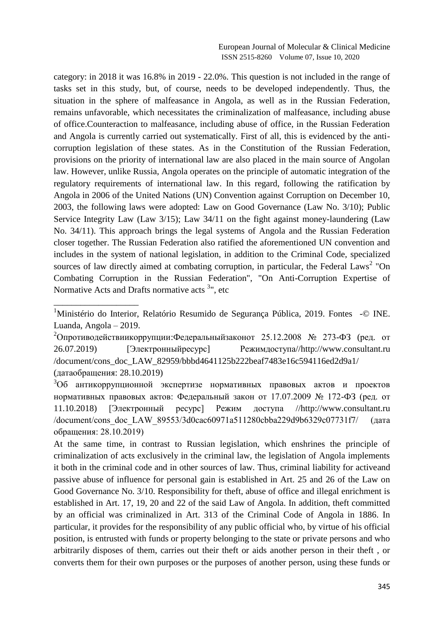category: in 2018 it was 16.8% in 2019 - 22.0%. This question is not included in the range of tasks set in this study, but, of course, needs to be developed independently. Thus, the situation in the sphere of malfeasance in Angola, as well as in the Russian Federation, remains unfavorable, which necessitates the criminalization of malfeasance, including abuse of office.Counteraction to malfeasance, including abuse of office, in the Russian Federation and Angola is currently carried out systematically. First of all, this is evidenced by the anticorruption legislation of these states. As in the Constitution of the Russian Federation, provisions on the priority of international law are also placed in the main source of Angolan law. However, unlike Russia, Angola operates on the principle of automatic integration of the regulatory requirements of international law. In this regard, following the ratification by Angola in 2006 of the United Nations (UN) Convention against Corruption on December 10, 2003, the following laws were adopted: Law on Good Governance (Law No. 3/10); Public Service Integrity Law (Law 3/15); Law 34/11 on the fight against money-laundering (Law No. 34/11). This approach brings the legal systems of Angola and the Russian Federation closer together. The Russian Federation also ratified the aforementioned UN convention and includes in the system of national legislation, in addition to the Criminal Code, specialized sources of law directly aimed at combating corruption, in particular, the Federal Laws<sup>2</sup> "On Combating Corruption in the Russian Federation", "On Anti-Corruption Expertise of Normative Acts and Drafts normative acts <sup>3</sup>", etc

\_\_\_\_\_\_\_\_\_\_\_\_\_\_\_\_\_\_\_

<sup>&</sup>lt;sup>1</sup>Ministério do Interior, Relatório Resumido de Segurança Pública, 2019. Fontes -© INE. Luanda, Angola – 2019.

<sup>&</sup>lt;sup>2</sup>Опротиводействиикоррупции: Федеральныйзаконот 25.12.2008 № 273-ФЗ (ред. от 26.07.2019) [Электронныйресурс] Режимдоступа//http://www.consultant.ru /document/cons\_doc\_LAW\_82959/bbbd4641125b222beaf7483e16c594116ed2d9a1/ (датаобращения: 28.10.2019)

<sup>3</sup>Об антикоррупционной экспертизе нормативных правовых актов и проектов нормативных правовых актов: Федеральный закон от 17.07.2009 № 172-ФЗ (ред. от 11.10.2018) [Электронный ресурс] Режим доступа //http://www.consultant.ru /document/cons\_doc\_LAW\_89553/3d0cac60971a511280cbba229d9b6329c07731f7/ (дата обращения: 28.10.2019)

At the same time, in contrast to Russian legislation, which enshrines the principle of criminalization of acts exclusively in the criminal law, the legislation of Angola implements it both in the criminal code and in other sources of law. Thus, criminal liability for activeand passive abuse of influence for personal gain is established in Art. 25 and 26 of the Law on Good Governance No. 3/10. Responsibility for theft, abuse of office and illegal enrichment is established in Art. 17, 19, 20 and 22 of the said Law of Angola. In addition, theft committed by an official was criminalized in Art. 313 of the Criminal Code of Angola in 1886. In particular, it provides for the responsibility of any public official who, by virtue of his official position, is entrusted with funds or property belonging to the state or private persons and who arbitrarily disposes of them, carries out their theft or aids another person in their theft , or converts them for their own purposes or the purposes of another person, using these funds or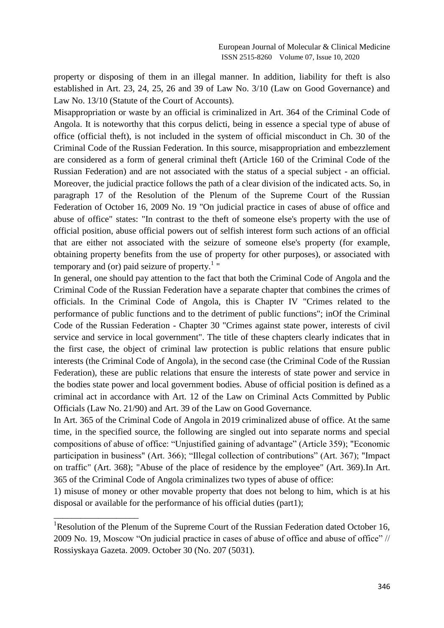European Journal of Molecular & Clinical Medicine ISSN 2515-8260 Volume 07, Issue 10, 2020

property or disposing of them in an illegal manner. In addition, liability for theft is also established in Art. 23, 24, 25, 26 and 39 of Law No. 3/10 (Law on Good Governance) and Law No. 13/10 (Statute of the Court of Accounts).

Misappropriation or waste by an official is criminalized in Art. 364 of the Criminal Code of Angola. It is noteworthy that this corpus delicti, being in essence a special type of abuse of office (official theft), is not included in the system of official misconduct in Ch. 30 of the Criminal Code of the Russian Federation. In this source, misappropriation and embezzlement are considered as a form of general criminal theft (Article 160 of the Criminal Code of the Russian Federation) and are not associated with the status of a special subject - an official. Moreover, the judicial practice follows the path of a clear division of the indicated acts. So, in paragraph 17 of the Resolution of the Plenum of the Supreme Court of the Russian Federation of October 16, 2009 No. 19 "On judicial practice in cases of abuse of office and abuse of office" states: "In contrast to the theft of someone else's property with the use of official position, abuse official powers out of selfish interest form such actions of an official that are either not associated with the seizure of someone else's property (for example, obtaining property benefits from the use of property for other purposes), or associated with temporary and (or) paid seizure of property. $1$  "

In general, one should pay attention to the fact that both the Criminal Code of Angola and the Criminal Code of the Russian Federation have a separate chapter that combines the crimes of officials. In the Criminal Code of Angola, this is Chapter IV "Crimes related to the performance of public functions and to the detriment of public functions"; inOf the Criminal Code of the Russian Federation - Chapter 30 "Crimes against state power, interests of civil service and service in local government". The title of these chapters clearly indicates that in the first case, the object of criminal law protection is public relations that ensure public interests (the Criminal Code of Angola), in the second case (the Criminal Code of the Russian Federation), these are public relations that ensure the interests of state power and service in the bodies state power and local government bodies. Abuse of official position is defined as a criminal act in accordance with Art. 12 of the Law on Criminal Acts Committed by Public Officials (Law No. 21/90) and Art. 39 of the Law on Good Governance.

In Art. 365 of the Criminal Code of Angola in 2019 criminalized abuse of office. At the same time, in the specified source, the following are singled out into separate norms and special compositions of abuse of office: "Unjustified gaining of advantage" (Article 359); "Economic participation in business" (Art. 366); "Illegal collection of contributions" (Art. 367); "Impact on traffic" (Art. 368); "Abuse of the place of residence by the employee" (Art. 369).In Art. 365 of the Criminal Code of Angola criminalizes two types of abuse of office:

1) misuse of money or other movable property that does not belong to him, which is at his disposal or available for the performance of his official duties (part1);

\_\_\_\_\_\_\_\_\_\_\_\_\_\_\_\_\_\_\_

<sup>&</sup>lt;sup>1</sup>Resolution of the Plenum of the Supreme Court of the Russian Federation dated October 16, 2009 No. 19, Moscow "On judicial practice in cases of abuse of office and abuse of office" // Rossiyskaya Gazeta. 2009. October 30 (No. 207 (5031).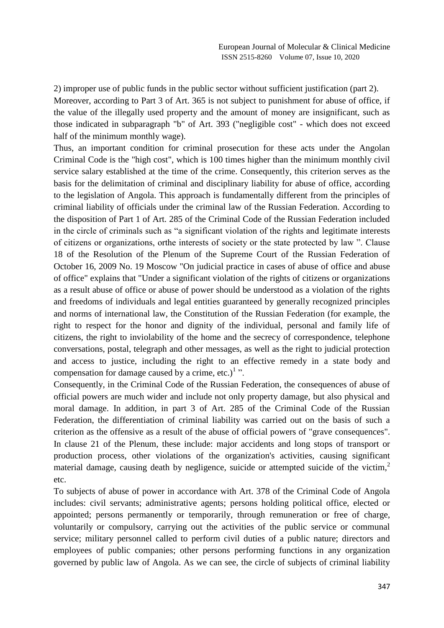2) improper use of public funds in the public sector without sufficient justification (part 2). Moreover, according to Part 3 of Art. 365 is not subject to punishment for abuse of office, if the value of the illegally used property and the amount of money are insignificant, such as those indicated in subparagraph "b" of Art. 393 ("negligible cost" - which does not exceed half of the minimum monthly wage).

Thus, an important condition for criminal prosecution for these acts under the Angolan Criminal Code is the "high cost", which is 100 times higher than the minimum monthly civil service salary established at the time of the crime. Consequently, this criterion serves as the basis for the delimitation of criminal and disciplinary liability for abuse of office, according to the legislation of Angola. This approach is fundamentally different from the principles of criminal liability of officials under the criminal law of the Russian Federation. According to the disposition of Part 1 of Art. 285 of the Criminal Code of the Russian Federation included in the circle of criminals such as "a significant violation of the rights and legitimate interests of citizens or organizations, orthe interests of society or the state protected by law ". Clause 18 of the Resolution of the Plenum of the Supreme Court of the Russian Federation of October 16, 2009 No. 19 Moscow "On judicial practice in cases of abuse of office and abuse of office" explains that "Under a significant violation of the rights of citizens or organizations as a result abuse of office or abuse of power should be understood as a violation of the rights and freedoms of individuals and legal entities guaranteed by generally recognized principles and norms of international law, the Constitution of the Russian Federation (for example, the right to respect for the honor and dignity of the individual, personal and family life of citizens, the right to inviolability of the home and the secrecy of correspondence, telephone conversations, postal, telegraph and other messages, as well as the right to judicial protection and access to justice, including the right to an effective remedy in a state body and compensation for damage caused by a crime, etc.) $<sup>1</sup>$ .</sup>

Consequently, in the Criminal Code of the Russian Federation, the consequences of abuse of official powers are much wider and include not only property damage, but also physical and moral damage. In addition, in part 3 of Art. 285 of the Criminal Code of the Russian Federation, the differentiation of criminal liability was carried out on the basis of such a criterion as the offensive as a result of the abuse of official powers of "grave consequences". In clause 21 of the Plenum, these include: major accidents and long stops of transport or production process, other violations of the organization's activities, causing significant material damage, causing death by negligence, suicide or attempted suicide of the victim, $2\pi$ etc.

To subjects of abuse of power in accordance with Art. 378 of the Criminal Code of Angola includes: civil servants; administrative agents; persons holding political office, elected or appointed; persons permanently or temporarily, through remuneration or free of charge, voluntarily or compulsory, carrying out the activities of the public service or communal service; military personnel called to perform civil duties of a public nature; directors and employees of public companies; other persons performing functions in any organization governed by public law of Angola. As we can see, the circle of subjects of criminal liability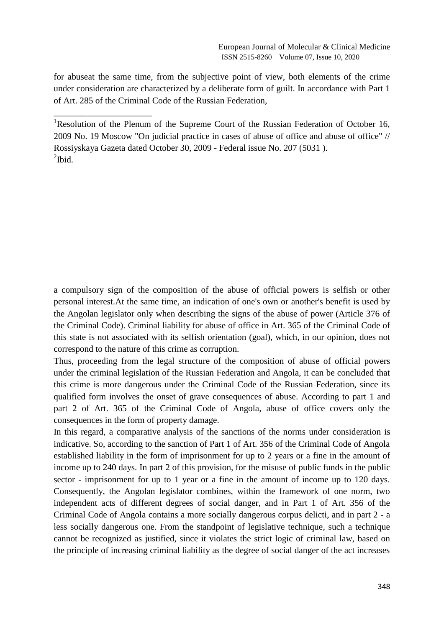for abuseat the same time, from the subjective point of view, both elements of the crime under consideration are characterized by a deliberate form of guilt. In accordance with Part 1 of Art. 285 of the Criminal Code of the Russian Federation,

\_\_\_\_\_\_\_\_\_\_\_\_\_\_\_\_\_\_\_\_\_\_

<sup>1</sup>Resolution of the Plenum of the Supreme Court of the Russian Federation of October 16, 2009 No. 19 Moscow "On judicial practice in cases of abuse of office and abuse of office" // Rossiyskaya Gazeta dated October 30, 2009 - Federal issue No. 207 (5031 ).  $^{2}$ Ibid.

a compulsory sign of the composition of the abuse of official powers is selfish or other personal interest.At the same time, an indication of one's own or another's benefit is used by the Angolan legislator only when describing the signs of the abuse of power (Article 376 of the Criminal Code). Criminal liability for abuse of office in Art. 365 of the Criminal Code of this state is not associated with its selfish orientation (goal), which, in our opinion, does not correspond to the nature of this crime as corruption.

Thus, proceeding from the legal structure of the composition of abuse of official powers under the criminal legislation of the Russian Federation and Angola, it can be concluded that this crime is more dangerous under the Criminal Code of the Russian Federation, since its qualified form involves the onset of grave consequences of abuse. According to part 1 and part 2 of Art. 365 of the Criminal Code of Angola, abuse of office covers only the consequences in the form of property damage.

In this regard, a comparative analysis of the sanctions of the norms under consideration is indicative. So, according to the sanction of Part 1 of Art. 356 of the Criminal Code of Angola established liability in the form of imprisonment for up to 2 years or a fine in the amount of income up to 240 days. In part 2 of this provision, for the misuse of public funds in the public sector - imprisonment for up to 1 year or a fine in the amount of income up to 120 days. Consequently, the Angolan legislator combines, within the framework of one norm, two independent acts of different degrees of social danger, and in Part 1 of Art. 356 of the Criminal Code of Angola contains a more socially dangerous corpus delicti, and in part 2 - a less socially dangerous one. From the standpoint of legislative technique, such a technique cannot be recognized as justified, since it violates the strict logic of criminal law, based on the principle of increasing criminal liability as the degree of social danger of the act increases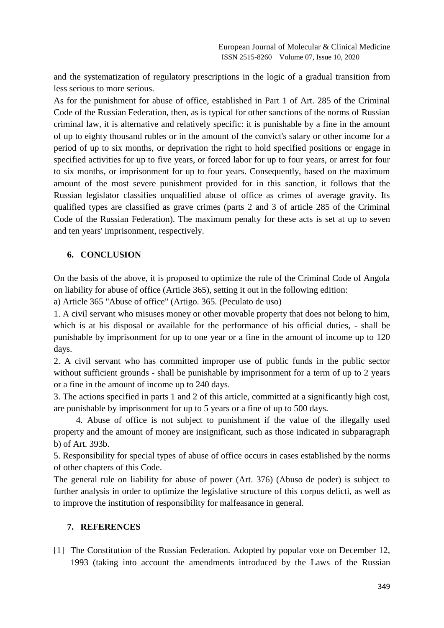and the systematization of regulatory prescriptions in the logic of a gradual transition from less serious to more serious.

As for the punishment for abuse of office, established in Part 1 of Art. 285 of the Criminal Code of the Russian Federation, then, as is typical for other sanctions of the norms of Russian criminal law, it is alternative and relatively specific: it is punishable by a fine in the amount of up to eighty thousand rubles or in the amount of the convict's salary or other income for a period of up to six months, or deprivation the right to hold specified positions or engage in specified activities for up to five years, or forced labor for up to four years, or arrest for four to six months, or imprisonment for up to four years. Consequently, based on the maximum amount of the most severe punishment provided for in this sanction, it follows that the Russian legislator classifies unqualified abuse of office as crimes of average gravity. Its qualified types are classified as grave crimes (parts 2 and 3 of article 285 of the Criminal Code of the Russian Federation). The maximum penalty for these acts is set at up to seven and ten years' imprisonment, respectively.

# **6. CONCLUSION**

On the basis of the above, it is proposed to optimize the rule of the Criminal Code of Angola on liability for abuse of office (Article 365), setting it out in the following edition:

a) Article 365 "Abuse of office" (Artigo. 365. (Peculato de uso)

1. A civil servant who misuses money or other movable property that does not belong to him, which is at his disposal or available for the performance of his official duties, - shall be punishable by imprisonment for up to one year or a fine in the amount of income up to 120 days.

2. A civil servant who has committed improper use of public funds in the public sector without sufficient grounds - shall be punishable by imprisonment for a term of up to 2 years or a fine in the amount of income up to 240 days.

3. The actions specified in parts 1 and 2 of this article, committed at a significantly high cost, are punishable by imprisonment for up to 5 years or a fine of up to 500 days.

 4. Abuse of office is not subject to punishment if the value of the illegally used property and the amount of money are insignificant, such as those indicated in subparagraph b) of Art. 393b.

5. Responsibility for special types of abuse of office occurs in cases established by the norms of other chapters of this Code.

The general rule on liability for abuse of power (Art. 376) (Abuso de poder) is subject to further analysis in order to optimize the legislative structure of this corpus delicti, as well as to improve the institution of responsibility for malfeasance in general.

## **7. REFERENCES**

[1] The Constitution of the Russian Federation. Adopted by popular vote on December 12, 1993 (taking into account the amendments introduced by the Laws of the Russian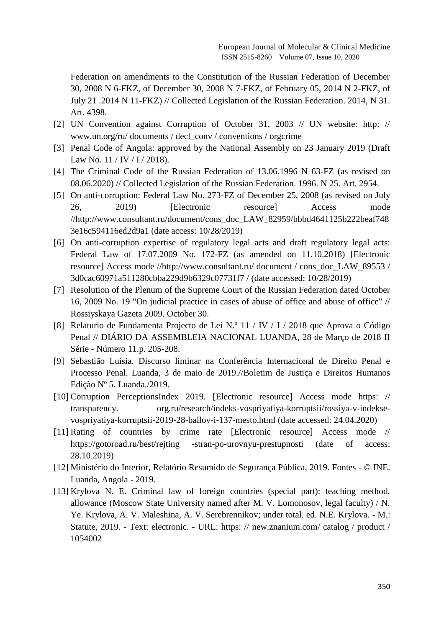Federation on amendments to the Constitution of the Russian Federation of December 30, 2008 N 6-FKZ, of December 30, 2008 N 7-FKZ, of February 05, 2014 N 2-FKZ, of July 21 .2014 N 11-FKZ) // Collected Legislation of the Russian Federation. 2014, N 31. Art. 4398.

- [2] UN Convention against Corruption of October 31, 2003 // UN website: http: // www.un.org/ru/ documents / decl\_conv / conventions / orgcrime
- [3] Penal Code of Angola: approved by the National Assembly on 23 January 2019 (Draft Law No. 11 / IV / I / 2018).
- [4] The Criminal Code of the Russian Federation of 13.06.1996 N 63-FZ (as revised on 08.06.2020) // Collected Legislation of the Russian Federation. 1996. N 25. Art. 2954.
- [5] On anti-corruption: Federal Law No. 273-FZ of December 25, 2008 (as revised on July 26, 2019) [Electronic resource] Access mode //http://www.consultant.ru/document/cons\_doc\_LAW\_82959/bbbd4641125b222beaf748 3e16c594116ed2d9a1 (date access: 10/28/2019)
- [6] On anti-corruption expertise of regulatory legal acts and draft regulatory legal acts: Federal Law of 17.07.2009 No. 172-FZ (as amended on 11.10.2018) [Electronic resource] Access mode //http://www.consultant.ru/ document / cons\_doc\_LAW\_89553 / 3d0cac60971a511280cbba229d9b6329c07731f7 / (date accessed: 10/28/2019)
- [7] Resolution of the Plenum of the Supreme Court of the Russian Federation dated October 16, 2009 No. 19 "On judicial practice in cases of abuse of office and abuse of office" // Rossiyskaya Gazeta 2009. October 30.
- [8] Relaturio de Fundamenta Projecto de Lei N.º 11 / IV / I / 2018 que Aprova o Código Penal // DIÁRIO DA ASSEMBLEIA NACIONAL LUANDA, 28 de Março de 2018 II Série - Número 11.p. 205-208.
- [9] Sebastião Luísia. Discurso liminar na Conferência Internacional de Direito Penal e Processo Penal. Luanda, 3 de maio de 2019.//Boletim de Justiça e Direitos Humanos Edição Nº 5. Luanda./2019.
- [10] Corruption PerceptionsIndex 2019. [Electronic resource] Access mode https: // transparency. org.ru/research/indeks-vospriyatiya-korruptsii/rossiya-v-indeksevospriyatiya-korruptsii-2019-28-ballov-i-137-mesto.html (date accessed: 24.04.2020)
- [11] Rating of countries by crime rate [Electronic resource] Access mode // https://gotoroad.ru/best/rejting -stran-po-urovnyu-prestupnosti (date of access: 28.10.2019)
- [12] Ministério do Interior, Relatório Resumido de Segurança Pública, 2019. Fontes © INE. Luanda, Angola - 2019.
- [13] Krylova N. E. Criminal law of foreign countries (special part): teaching method. allowance (Moscow State University named after M. V. Lomonosov, legal faculty) / N. Ye. Krylova, A. V. Maleshina, A. V. Serebrennikov; under total. ed. N.E. Krylova. - M.: Statute, 2019. - Text: electronic. - URL: https: // new.znanium.com/ catalog / product / 1054002